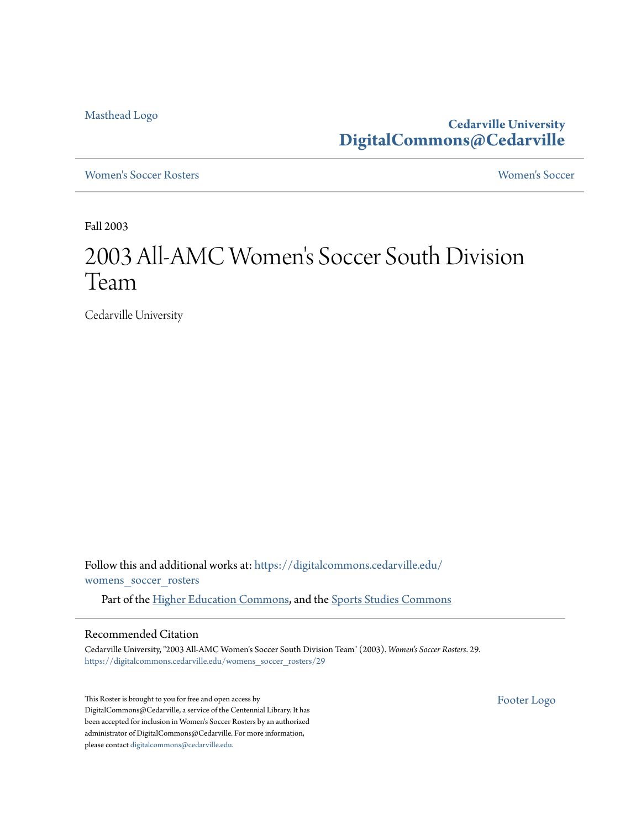[Masthead Logo](http://www.cedarville.edu/?utm_source=digitalcommons.cedarville.edu%2Fwomens_soccer_rosters%2F29&utm_medium=PDF&utm_campaign=PDFCoverPages)

**Cedarville University [DigitalCommons@Cedarville](https://digitalcommons.cedarville.edu?utm_source=digitalcommons.cedarville.edu%2Fwomens_soccer_rosters%2F29&utm_medium=PDF&utm_campaign=PDFCoverPages)**

[Women's Soccer Rosters](https://digitalcommons.cedarville.edu/womens_soccer_rosters?utm_source=digitalcommons.cedarville.edu%2Fwomens_soccer_rosters%2F29&utm_medium=PDF&utm_campaign=PDFCoverPages) [Women's Soccer](https://digitalcommons.cedarville.edu/womens_soccer?utm_source=digitalcommons.cedarville.edu%2Fwomens_soccer_rosters%2F29&utm_medium=PDF&utm_campaign=PDFCoverPages)

Fall 2003

## 2003 All-AMC Women 's Soccer South Division Team

Cedarville University

Follow this and additional works at: [https://digitalcommons.cedarville.edu/](https://digitalcommons.cedarville.edu/womens_soccer_rosters?utm_source=digitalcommons.cedarville.edu%2Fwomens_soccer_rosters%2F29&utm_medium=PDF&utm_campaign=PDFCoverPages) [womens\\_soccer\\_rosters](https://digitalcommons.cedarville.edu/womens_soccer_rosters?utm_source=digitalcommons.cedarville.edu%2Fwomens_soccer_rosters%2F29&utm_medium=PDF&utm_campaign=PDFCoverPages)

Part of the [Higher Education Commons](http://network.bepress.com/hgg/discipline/1245?utm_source=digitalcommons.cedarville.edu%2Fwomens_soccer_rosters%2F29&utm_medium=PDF&utm_campaign=PDFCoverPages), and the [Sports Studies Commons](http://network.bepress.com/hgg/discipline/1198?utm_source=digitalcommons.cedarville.edu%2Fwomens_soccer_rosters%2F29&utm_medium=PDF&utm_campaign=PDFCoverPages)

## Recommended Citation

Cedarville University, "2003 All-AMC Women's Soccer South Division Team" (2003). *Women's Soccer Rosters*. 29. [https://digitalcommons.cedarville.edu/womens\\_soccer\\_rosters/29](https://digitalcommons.cedarville.edu/womens_soccer_rosters/29?utm_source=digitalcommons.cedarville.edu%2Fwomens_soccer_rosters%2F29&utm_medium=PDF&utm_campaign=PDFCoverPages)

This Roster is brought to you for free and open access by DigitalCommons@Cedarville, a service of the Centennial Library. It has been accepted for inclusion in Women's Soccer Rosters by an authorized administrator of DigitalCommons@Cedarville. For more information, please contact [digitalcommons@cedarville.edu.](mailto:digitalcommons@cedarville.edu)

[Footer Logo](http://www.cedarville.edu/Academics/Library.aspx?utm_source=digitalcommons.cedarville.edu%2Fwomens_soccer_rosters%2F29&utm_medium=PDF&utm_campaign=PDFCoverPages)